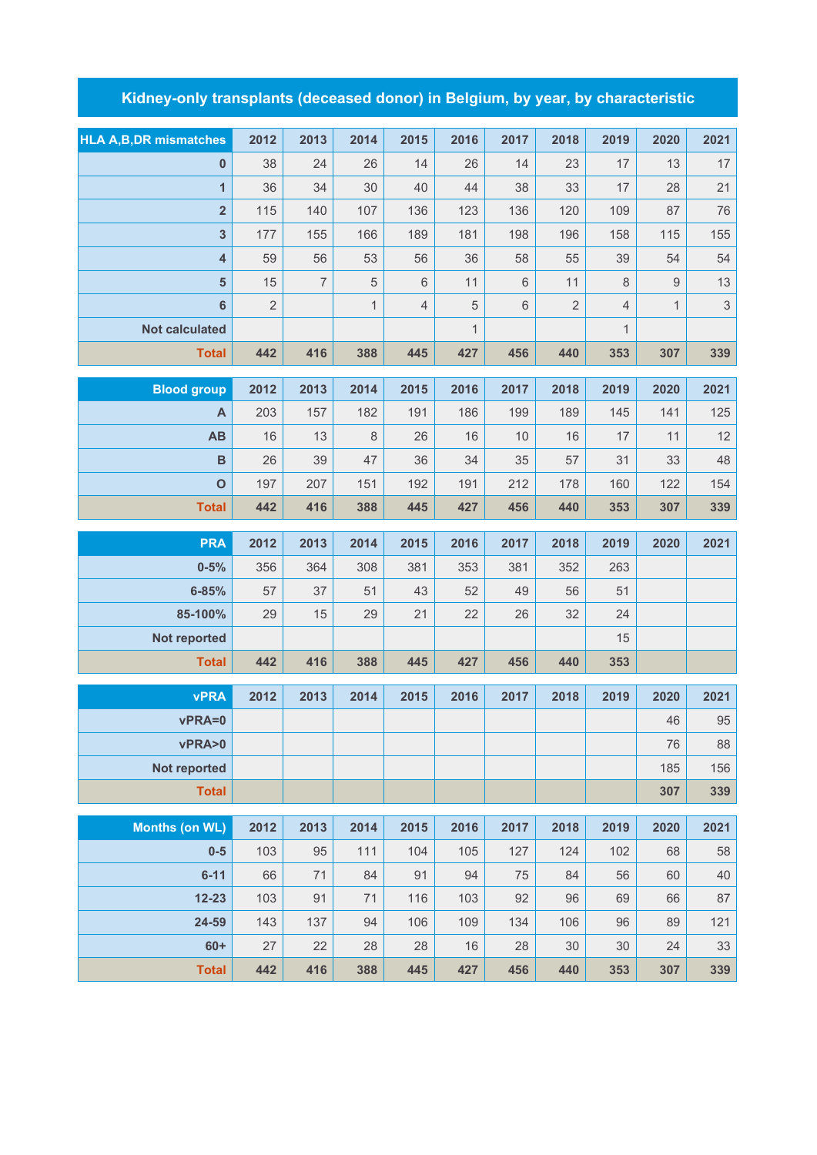## **Kidney-only transplants (deceased donor) in Belgium, by year, by characteristic**

| <b>HLA A,B,DR mismatches</b> | 2012           | 2013           | 2014         | 2015           | 2016         | 2017 | 2018           | 2019           | 2020         | 2021       |
|------------------------------|----------------|----------------|--------------|----------------|--------------|------|----------------|----------------|--------------|------------|
| $\mathbf{0}$                 | 38             | 24             | 26           | 14             | 26           | 14   | 23             | 17             | 13           | 17         |
| $\mathbf{1}$                 | 36             | 34             | 30           | 40             | 44           | 38   | 33             | 17             | 28           | 21         |
| $\overline{\mathbf{2}}$      | 115            | 140            | 107          | 136            | 123          | 136  | 120            | 109            | 87           | 76         |
| $\overline{\mathbf{3}}$      | 177            | 155            | 166          | 189            | 181          | 198  | 196            | 158            | 115          | 155        |
| $\overline{\mathbf{4}}$      | 59             | 56             | 53           | 56             | 36           | 58   | 55             | 39             | 54           | 54         |
| $5\phantom{.0}$              | 15             | $\overline{7}$ | 5            | $\,6$          | 11           | 6    | 11             | $\,8\,$        | 9            | 13         |
| 6                            | $\overline{2}$ |                | $\mathbf{1}$ | $\overline{4}$ | 5            | 6    | $\overline{2}$ | $\overline{4}$ | $\mathbf{1}$ | $\sqrt{3}$ |
| <b>Not calculated</b>        |                |                |              |                | $\mathbf{1}$ |      |                | $\mathbf{1}$   |              |            |
| <b>Total</b>                 | 442            | 416            | 388          | 445            | 427          | 456  | 440            | 353            | 307          | 339        |
| <b>Blood group</b>           | 2012           | 2013           | 2014         | 2015           | 2016         | 2017 | 2018           | 2019           | 2020         | 2021       |
| A                            | 203            | 157            | 182          | 191            | 186          | 199  | 189            | 145            | 141          | 125        |
| AB                           | 16             | 13             | 8            | 26             | 16           | 10   | 16             | 17             | 11           | 12         |
| $\mathbf B$                  | 26             | 39             | 47           | 36             | 34           | 35   | 57             | 31             | 33           | 48         |
| $\mathbf O$                  | 197            | 207            | 151          | 192            | 191          | 212  | 178            | 160            | 122          | 154        |
| <b>Total</b>                 | 442            | 416            | 388          | 445            | 427          | 456  | 440            | 353            | 307          | 339        |
|                              |                |                |              |                |              |      |                |                |              |            |
| <b>PRA</b>                   | 2012           | 2013           | 2014         | 2015           | 2016         | 2017 | 2018           | 2019           | 2020         | 2021       |
| $0 - 5%$                     | 356            | 364            | 308          | 381            | 353          | 381  | 352            | 263            |              |            |
| $6 - 85%$                    | 57             | 37             | 51           | 43             | 52           | 49   | 56             | 51             |              |            |

| <b>vPRA</b>  | 2012 | 2013 | 2014 | 2015 | 2016 | 2017 | 2018 | 2019 | 2020 | 2021 |
|--------------|------|------|------|------|------|------|------|------|------|------|
| <b>Total</b> | 442  | 416  | 388  | 445  | 427  | 456  | 440  | 353  |      |      |
| Not reported |      |      |      |      |      |      |      | 15   |      |      |
| $85-100%$    | 29   | 15   | 29   | 21   | 22   | 26   | 32   | 24   |      |      |

| vPRA=0       |  |  |  |  | 46  | 95  |
|--------------|--|--|--|--|-----|-----|
| vPRA>0       |  |  |  |  | 76  | 88  |
| Not reported |  |  |  |  | 185 | 156 |
| Total        |  |  |  |  | 307 | 339 |

| <b>Months (on WL)</b> | 2012 | 2013 | 2014 | 2015 | 2016 | 2017 | 2018 | 2019 | 2020 | 2021 |
|-----------------------|------|------|------|------|------|------|------|------|------|------|
| $0-5$                 | 103  | 95   | 111  | 104  | 105  | 127  | 124  | 102  | 68   | 58   |
| $6 - 11$              | 66   | 71   | 84   | 91   | 94   | 75   | 84   | 56   | 60   | 40   |
| $12 - 23$             | 103  | 91   | 71   | 116  | 103  | 92   | 96   | 69   | 66   | 87   |
| 24-59                 | 143  | 137  | 94   | 106  | 109  | 134  | 106  | 96   | 89   | 121  |
| $60+$                 | 27   | 22   | 28   | 28   | 16   | 28   | 30   | 30   | 24   | 33   |
| <b>Total</b>          | 442  | 416  | 388  | 445  | 427  | 456  | 440  | 353  | 307  | 339  |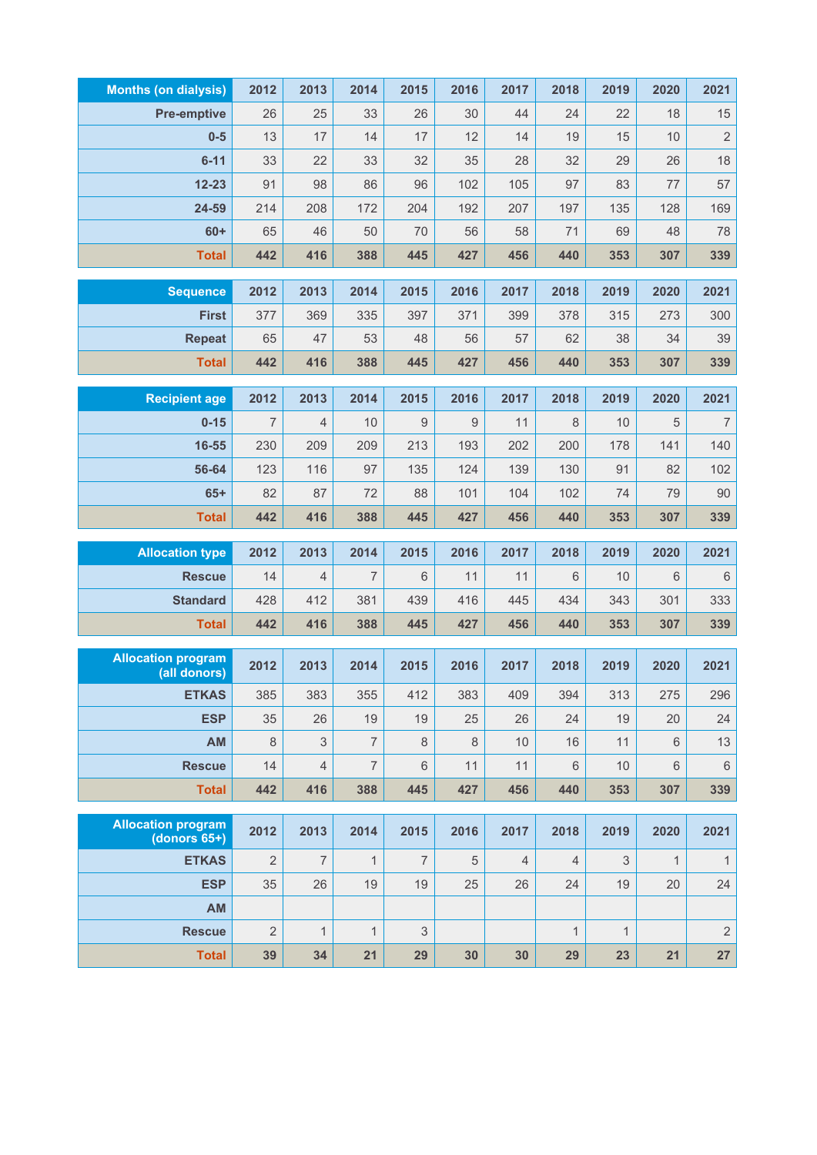| <b>Months (on dialysis)</b> | 2012           | 2013           | 2014           | 2015             | 2016    | 2017           | 2018           | 2019         | 2020         | 2021             |
|-----------------------------|----------------|----------------|----------------|------------------|---------|----------------|----------------|--------------|--------------|------------------|
| <b>Pre-emptive</b>          | 26             | 25             | 33             | 26               | 30      | 44             | 24             | 22           | 18           | 15               |
| $0-5$                       | 13             | 17             | 14             | 17               | 12      | 14             | 19             | 15           | 10           | $\sqrt{2}$       |
| $6 - 11$                    | 33             | 22             | 33             | 32               | 35      | 28             | 32             | 29           | 26           | 18               |
| $12 - 23$                   | 91             | 98             | 86             | 96               | 102     | 105            | 97             | 83           | 77           | 57               |
| 24-59                       | 214            | 208            | 172            | 204              | 192     | 207            | 197            | 135          | 128          | 169              |
| $60+$                       | 65             | 46             | 50             | 70               | 56      | 58             | 71             | 69           | 48           | 78               |
| <b>Total</b>                | 442            | 416            | 388            | 445              | 427     | 456            | 440            | 353          | 307          | 339              |
| <b>Sequence</b>             | 2012           | 2013           | 2014           | 2015             | 2016    | 2017           | 2018           | 2019         | 2020         | 2021             |
| <b>First</b>                | 377            | 369            | 335            | 397              | 371     | 399            | 378            | 315          | 273          | 300              |
| <b>Repeat</b>               | 65             | 47             | 53             | 48               | 56      | 57             | 62             | 38           | 34           | 39               |
| <b>Total</b>                | 442            | 416            | 388            | 445              | 427     | 456            | 440            | 353          | 307          | 339              |
|                             |                |                |                |                  |         |                |                |              |              |                  |
| <b>Recipient age</b>        | 2012           | 2013           | 2014           | 2015             | 2016    | 2017           | 2018           | 2019         | 2020         | 2021             |
| $0 - 15$                    | $\overline{7}$ | $\overline{4}$ | 10             | $\boldsymbol{9}$ | 9       | 11             | 8              | 10           | 5            | $\boldsymbol{7}$ |
| 16-55                       | 230            | 209            | 209            | 213              | 193     | 202            | 200            | 178          | 141          | 140              |
| 56-64                       | 123            | 116            | 97             | 135              | 124     | 139            | 130            | 91           | 82           | 102              |
| $65+$                       | 82             | 87             | 72             | 88               | 101     | 104            | 102            | 74           | 79           | 90               |
| <b>Total</b>                | 442            | 416            | 388            | 445              | 427     | 456            | 440            | 353          | 307          | 339              |
| <b>Allocation type</b>      | 2012           | 2013           | 2014           | 2015             | 2016    | 2017           | 2018           | 2019         | 2020         | 2021             |
| <b>Rescue</b>               | 14             | 4              | $\overline{7}$ | $6\phantom{1}$   | 11      | 11             | 6              | 10           | 6            | $\,6\,$          |
| <b>Standard</b>             | 428            | 412            | 381            | 439              | 416     | 445            | 434            | 343          | 301          | 333              |
| <b>Total</b>                | 442            | 416            | 388            | 445              | 427     | 456            | 440            | 353          | 307          | 339              |
| <b>Allocation program</b>   |                |                |                |                  |         |                |                |              |              |                  |
| (all donors)                | 2012           | 2013           | 2014           | 2015             | 2016    | 2017           | 2018           | 2019         | 2020         | 2021             |
| <b>ETKAS</b>                | 385            | 383            | 355            | 412              | 383     | 409            | 394            | 313          | 275          | 296              |
| <b>ESP</b>                  | 35             | 26             | 19             | 19               | 25      | 26             | 24             | 19           | 20           | 24               |
| AM                          | $\,8\,$        | 3              | $\overline{7}$ | $\,8\,$          | $\,8\,$ | 10             | 16             | 11           | 6            | 13               |
| <b>Rescue</b>               | 14             | $\overline{4}$ | $\overline{7}$ | $6\phantom{1}$   | 11      | 11             | 6              | 10           | 6            | $\,6\,$          |
| <b>Total</b>                | 442            | 416            | 388            | 445              | 427     | 456            | 440            | 353          | 307          | 339              |
| <b>Allocation program</b>   |                |                |                |                  |         |                |                |              |              |                  |
| $(donors 65+)$              | 2012           | 2013           | 2014           | 2015             | 2016    | 2017           | 2018           | 2019         | 2020         | 2021             |
| <b>ETKAS</b>                | $\overline{2}$ | $\overline{7}$ | $\mathbf{1}$   | $\overline{7}$   | 5       | $\overline{4}$ | $\overline{4}$ | 3            | $\mathbf{1}$ | $\mathbf{1}$     |
| <b>ESP</b>                  | 35             | 26             | 19             | 19               | 25      | 26             | 24             | 19           | 20           | 24               |
| AM                          |                |                |                |                  |         |                |                |              |              |                  |
| <b>Rescue</b>               | $\overline{2}$ | $\mathbf{1}$   | $\mathbf{1}$   | 3                |         |                | $\mathbf{1}$   | $\mathbf{1}$ |              | $\sqrt{2}$       |
| <b>Total</b>                | 39             | 34             | 21             | 29               | 30      | 30             | 29             | 23           | 21           | 27               |